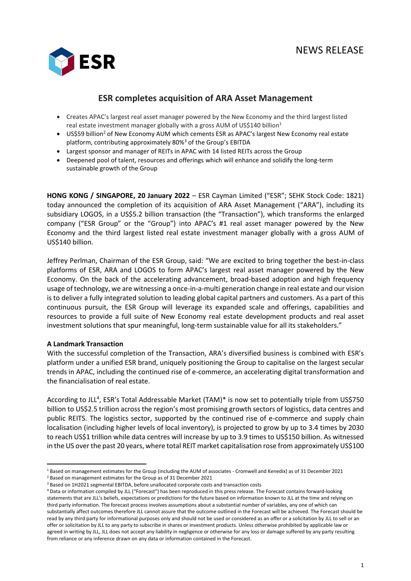

# **ESR completes acquisition of ARA Asset Management**

- Creates APAC's largest real asset manager powered by the New Economy and the third largest listed real estate investment manager globally with a gross AUM of US\$140 billion<sup>1</sup>
- US\$59 billion<sup>2</sup> of New Economy AUM which cements ESR as APAC's largest New Economy real estate platform, contributing approximately 80%<sup>3</sup> of the Group's EBITDA
- Largest sponsor and manager of REITs in APAC with 14 listed REITs across the Group
- Deepened pool of talent, resources and offerings which will enhance and solidify the long-term sustainable growth of the Group

**HONG KONG / SINGAPORE, 20 January 2022** – ESR Cayman Limited ("ESR"; SEHK Stock Code: 1821) today announced the completion of its acquisition of ARA Asset Management ("ARA"), including its subsidiary LOGOS, in a US\$5.2 billion transaction (the "Transaction"), which transforms the enlarged company ("ESR Group" or the "Group") into APAC's #1 real asset manager powered by the New Economy and the third largest listed real estate investment manager globally with a gross AUM of US\$140 billion.

Jeffrey Perlman, Chairman of the ESR Group, said: "We are excited to bring together the best-in-class platforms of ESR, ARA and LOGOS to form APAC's largest real asset manager powered by the New Economy. On the back of the accelerating advancement, broad-based adoption and high frequency usage of technology, we are witnessing a once-in-a-multi generation change in real estate and our vision is to deliver a fully integrated solution to leading global capital partners and customers. As a part of this continuous pursuit, the ESR Group will leverage its expanded scale and offerings, capabilities and resources to provide a full suite of New Economy real estate development products and real asset investment solutions that spur meaningful, long-term sustainable value for all its stakeholders."

# **A Landmark Transaction**

With the successful completion of the Transaction, ARA's diversified business is combined with ESR's platform under a unified ESR brand, uniquely positioning the Group to capitalise on the largest secular trends in APAC, including the continued rise of e-commerce, an accelerating digital transformation and the financialisation of real estate.

According to JLL<sup>4</sup>, ESR's Total Addressable Market (TAM)\* is now set to potentially triple from US\$750 billion to US\$2.5 trillion across the region's most promising growth sectors of logistics, data centres and public REITS. The logistics sector, supported by the continued rise of e-commerce and supply chain localisation (including higher levels of local inventory), is projected to grow by up to 3.4 times by 2030 to reach US\$1 trillion while data centres will increase by up to 3.9 times to US\$150 billion. As witnessed in the US over the past 20 years, where total REIT market capitalisation rose from approximately US\$100

<sup>1</sup> Based on management estimates for the Group (including the AUM of associates - Cromwell and Kenedix) as of 31 December 2021

<sup>2</sup> Based on management estimates for the Group as of 31 December 2021

<sup>3</sup> Based on 1H2021 segmental EBITDA, before unallocated corporate costs and transaction costs

<sup>4</sup> Data or information compiled by JLL ("Forecast") has been reproduced in this press release. The Forecast contains forward-looking statements that are JLL's beliefs, expectations or predictions for the future based on information known to JLL at the time and relying on third party information. The forecast process involves assumptions about a substantial number of variables, any one of which can substantially affect outcomes therefore JLL cannot assure that the outcome outlined in the Forecast will be achieved. The Forecast should be read by any third party for informational purposes only and should not be used or considered as an offer or a solicitation by JLL to sell or an offer or solicitation by JLL to any party to subscribe in shares or investment products. Unless otherwise prohibited by applicable law or agreed in writing by JLL, JLL does not accept any liability in negligence or otherwise for any loss or damage suffered by any party resulting from reliance or any inference drawn on any data or information contained in the Forecast.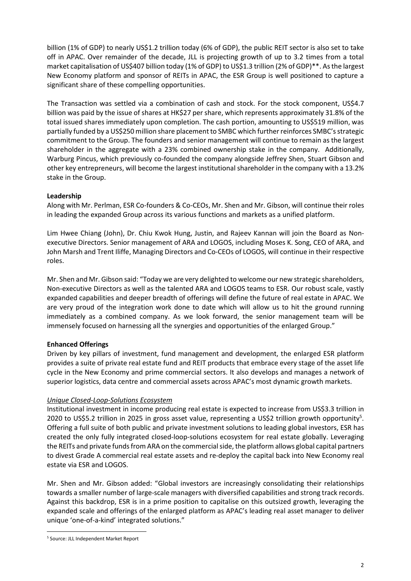billion (1% of GDP) to nearly US\$1.2 trillion today (6% of GDP), the public REIT sector is also set to take off in APAC. Over remainder of the decade, JLL is projecting growth of up to 3.2 times from a total market capitalisation of US\$407 billion today (1% of GDP) to US\$1.3 trillion (2% of GDP)\*\*. As the largest New Economy platform and sponsor of REITs in APAC, the ESR Group is well positioned to capture a significant share of these compelling opportunities.

The Transaction was settled via a combination of cash and stock. For the stock component, US\$4.7 billion was paid by the issue of shares at HK\$27 per share, which represents approximately 31.8% of the total issued shares immediately upon completion. The cash portion, amounting to US\$519 million, was partially funded by a US\$250 million share placement to SMBC which further reinforces SMBC's strategic commitment to the Group. The founders and senior management will continue to remain as the largest shareholder in the aggregate with a 23% combined ownership stake in the company. Additionally, Warburg Pincus, which previously co-founded the company alongside Jeffrey Shen, Stuart Gibson and other key entrepreneurs, will become the largest institutional shareholder in the company with a 13.2% stake in the Group.

# **Leadership**

Along with Mr. Perlman, ESR Co-founders & Co-CEOs, Mr. Shen and Mr. Gibson, will continue their roles in leading the expanded Group across its various functions and markets as a unified platform.

Lim Hwee Chiang (John), Dr. Chiu Kwok Hung, Justin, and Rajeev Kannan will join the Board as Nonexecutive Directors. Senior management of ARA and LOGOS, including Moses K. Song, CEO of ARA, and John Marsh and Trent Iliffe, Managing Directors and Co-CEOs of LOGOS, will continue in their respective roles.

Mr. Shen and Mr. Gibson said: "Today we are very delighted to welcome our new strategic shareholders, Non-executive Directors as well as the talented ARA and LOGOS teams to ESR. Our robust scale, vastly expanded capabilities and deeper breadth of offerings will define the future of real estate in APAC. We are very proud of the integration work done to date which will allow us to hit the ground running immediately as a combined company. As we look forward, the senior management team will be immensely focused on harnessing all the synergies and opportunities of the enlarged Group."

# **Enhanced Offerings**

Driven by key pillars of investment, fund management and development, the enlarged ESR platform provides a suite of private real estate fund and REIT products that embrace every stage of the asset life cycle in the New Economy and prime commercial sectors. It also develops and manages a network of superior logistics, data centre and commercial assets across APAC's most dynamic growth markets.

### *Unique Closed-Loop-Solutions Ecosystem*

Institutional investment in income producing real estate is expected to increase from US\$3.3 trillion in 2020 to US\$5.2 trillion in 2025 in gross asset value, representing a US\$2 trillion growth opportunity<sup>5</sup>. Offering a full suite of both public and private investment solutions to leading global investors, ESR has created the only fully integrated closed-loop-solutions ecosystem for real estate globally. Leveraging the REITs and private funds from ARA on the commercial side, the platform allows global capital partners to divest Grade A commercial real estate assets and re-deploy the capital back into New Economy real estate via ESR and LOGOS.

Mr. Shen and Mr. Gibson added: "Global investors are increasingly consolidating their relationships towards a smaller number of large-scale managers with diversified capabilities and strong track records. Against this backdrop, ESR is in a prime position to capitalise on this outsized growth, leveraging the expanded scale and offerings of the enlarged platform as APAC's leading real asset manager to deliver unique 'one-of-a-kind' integrated solutions."

<sup>5</sup> Source: JLL Independent Market Report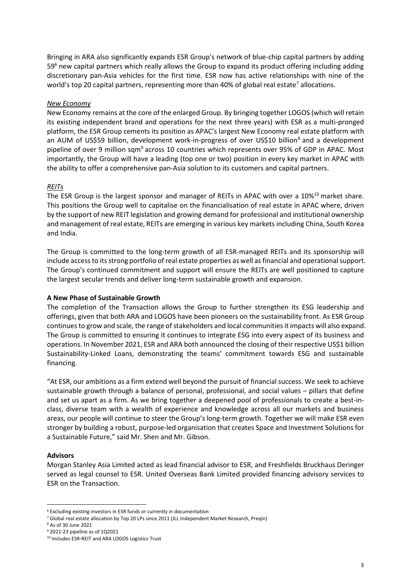Bringing in ARA also significantly expands ESR Group's network of blue-chip capital partners by adding  $59<sup>6</sup>$  new capital partners which really allows the Group to expand its product offering including adding discretionary pan-Asia vehicles for the first time. ESR now has active relationships with nine of the world's top 20 capital partners, representing more than 40% of global real estate<sup>7</sup> allocations.

# *New Economy*

New Economy remains at the core of the enlarged Group. By bringing together LOGOS (which will retain its existing independent brand and operations for the next three years) with ESR as a multi-pronged platform, the ESR Group cements its position as APAC's largest New Economy real estate platform with an AUM of US\$59 billion, development work-in-progress of over US\$10 billion<sup>8</sup> and a development pipeline of over 9 million sqm<sup>9</sup> across 10 countries which represents over 95% of GDP in APAC. Most importantly, the Group will have a leading (top one or two) position in every key market in APAC with the ability to offer a comprehensive pan-Asia solution to its customers and capital partners.

# *REITs*

The ESR Group is the largest sponsor and manager of REITs in APAC with over a 10%<sup>10</sup> market share. This positions the Group well to capitalise on the financialisation of real estate in APAC where, driven by the support of new REIT legislation and growing demand for professional and institutional ownership and management of real estate, REITs are emerging in various key markets including China, South Korea and India.

The Group is committed to the long-term growth of all ESR-managed REITs and its sponsorship will include access to its strong portfolio of real estate properties as well as financial and operational support. The Group's continued commitment and support will ensure the REITs are well positioned to capture the largest secular trends and deliver long-term sustainable growth and expansion.

### **A New Phase of Sustainable Growth**

The completion of the Transaction allows the Group to further strengthen its ESG leadership and offerings, given that both ARA and LOGOS have been pioneers on the sustainability front. As ESR Group continues to grow and scale, the range of stakeholders and local communities it impacts will also expand. The Group is committed to ensuring it continues to integrate ESG into every aspect of its business and operations. In November 2021, ESR and ARA both announced the closing of their respective US\$1 billion Sustainability-Linked Loans, demonstrating the teams' commitment towards ESG and sustainable financing.

"At ESR, our ambitions as a firm extend well beyond the pursuit of financial success. We seek to achieve sustainable growth through a balance of personal, professional, and social values – pillars that define and set us apart as a firm. As we bring together a deepened pool of professionals to create a best-inclass, diverse team with a wealth of experience and knowledge across all our markets and business areas, our people will continue to steer the Group's long-term growth. Together we will make ESR even stronger by building a robust, purpose-led organisation that creates Space and Investment Solutions for a Sustainable Future," said Mr. Shen and Mr. Gibson.

### **Advisors**

Morgan Stanley Asia Limited acted as lead financial advisor to ESR, and Freshfields Bruckhaus Deringer served as legal counsel to ESR. United Overseas Bank Limited provided financing advisory services to ESR on the Transaction.

<sup>6</sup> Excluding existing investors in ESR funds or currently in documentation

<sup>7</sup> Global real estate allocation by Top 20 LPs since 2011 (JLL Independent Market Research, Preqin)

<sup>8</sup> As of 30 June 2021

<sup>9</sup> 2021-23 pipeline as of 1Q2021

<sup>10</sup> Includes ESR-REIT and ARA LOGOS Logistics Trust